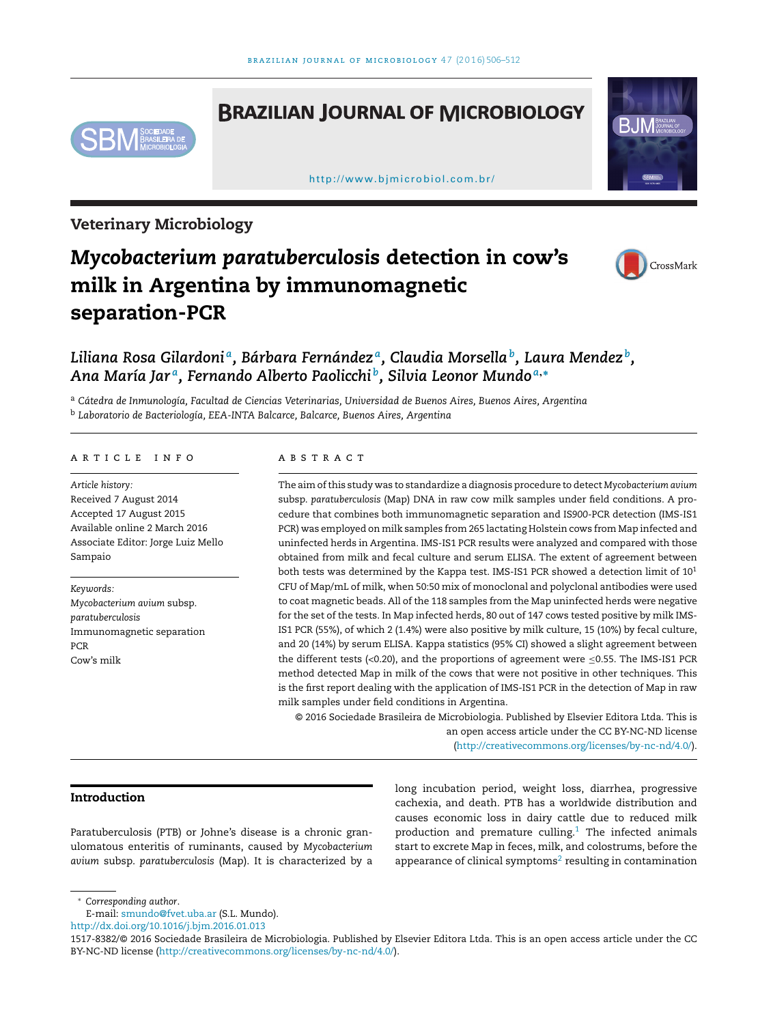## **BRAZILIAN JOURNAL OF MICROBIOLOGY**



[h ttp://www.bjmicrobiol.com.br/](http://www.bjmicrobiol.com.br/)



**Veterinary Microbiology**

# *Mycobacterium paratuberculosis* **detection in cow's milk in Argentina by immunomagnetic separation-PCR**



### *Liliana Rosa Gilardoni a, Bárbara Fernández a, Claudia Morsellab, Laura Mendez b, Ana María Jar a, Fernando Alberto Paolicchi b, Silvia Leonor Mundo <sup>a</sup>***,<sup>∗</sup>**

<sup>a</sup> *Cátedra de Inmunología, Facultad de Ciencias Veterinarias, Universidad de Buenos Aires, Buenos Aires, Argentina* <sup>b</sup> *Laboratorio de Bacteriología, EEA-INTA Balcarce, Balcarce, Buenos Aires, Argentina*

#### a r t i c l e i n f o

*Article history:* Received 7 August 2014 Accepted 17 August 2015 Available online 2 March 2016 Associate Editor: Jorge Luiz Mello Sampaio

*Keywords: Mycobacterium avium* subsp. *paratuberculosis* Immunomagnetic separation PCR Cow's milk

#### A B S T R A C T

The aim ofthis study was to standardize a diagnosis procedure to detect *Mycobacterium avium* subsp. *paratuberculosis* (Map) DNA in raw cow milk samples under field conditions. A procedure that combines both immunomagnetic separation and IS*900*-PCR detection (IMS-IS1 PCR) was employed on milk samples from 265 lactating Holstein cows from Map infected and uninfected herds in Argentina. IMS-IS1 PCR results were analyzed and compared with those obtained from milk and fecal culture and serum ELISA. The extent of agreement between both tests was determined by the Kappa test. IMS-IS1 PCR showed a detection limit of 101 CFU of Map/mL of milk, when 50:50 mix of monoclonal and polyclonal antibodies were used to coat magnetic beads. All of the 118 samples from the Map uninfected herds were negative for the set of the tests. In Map infected herds, 80 out of 147 cows tested positive by milk IMS-IS1 PCR (55%), of which 2 (1.4%) were also positive by milk culture, 15 (10%) by fecal culture, and 20 (14%) by serum ELISA. Kappa statistics (95% CI) showed a slight agreement between the different tests (<0.20), and the proportions of agreement were  $\leq$ 0.55. The IMS-IS1 PCR method detected Map in milk of the cows that were not positive in other techniques. This is the first report dealing with the application of IMS-IS1 PCR in the detection of Map in raw milk samples under field conditions in Argentina.

© 2016 Sociedade Brasileira de Microbiologia. Published by Elsevier Editora Ltda. This is an open access article under the CC BY-NC-ND license [\(http://creativecommons.org/licenses/by-nc-nd/4.0/](http://creativecommons.org/licenses/by-nc-nd/4.0/)).

#### **Introduction**

Paratuberculosis (PTB) or Johne's disease is a chronic granulomatous enteritis of ruminants, caused by *Mycobacterium avium* subsp. *paratuberculosis* (Map). It is characterized by a long incubation period, weight loss, diarrhea, progressive cachexia, and death. PTB has a worldwide distribution and causes economic loss in dairy cattle due to reduced milk production and premature culling.<sup>[1](#page-5-0)</sup> The infected animals start to excrete Map in feces, milk, and colostrums, before the appearance of clinical symptoms<sup>2</sup> resulting in contamination

∗ *Corresponding author*.

E-mail: [smundo@fvet.uba.ar](mailto:smundo@fvet.uba.ar) (S.L. Mundo).

[http://dx.doi.org/10.1016/j.bjm.2016.01.013](dx.doi.org/10.1016/j.bjm.2016.01.013)

<sup>1517-8382/©</sup> 2016 Sociedade Brasileira de Microbiologia. Published by Elsevier Editora Ltda. This is an open access article under the CC BY-NC-ND license [\(http://creativecommons.org/licenses/by-nc-nd/4.0/](http://creativecommons.org/licenses/by-nc-nd/4.0/)).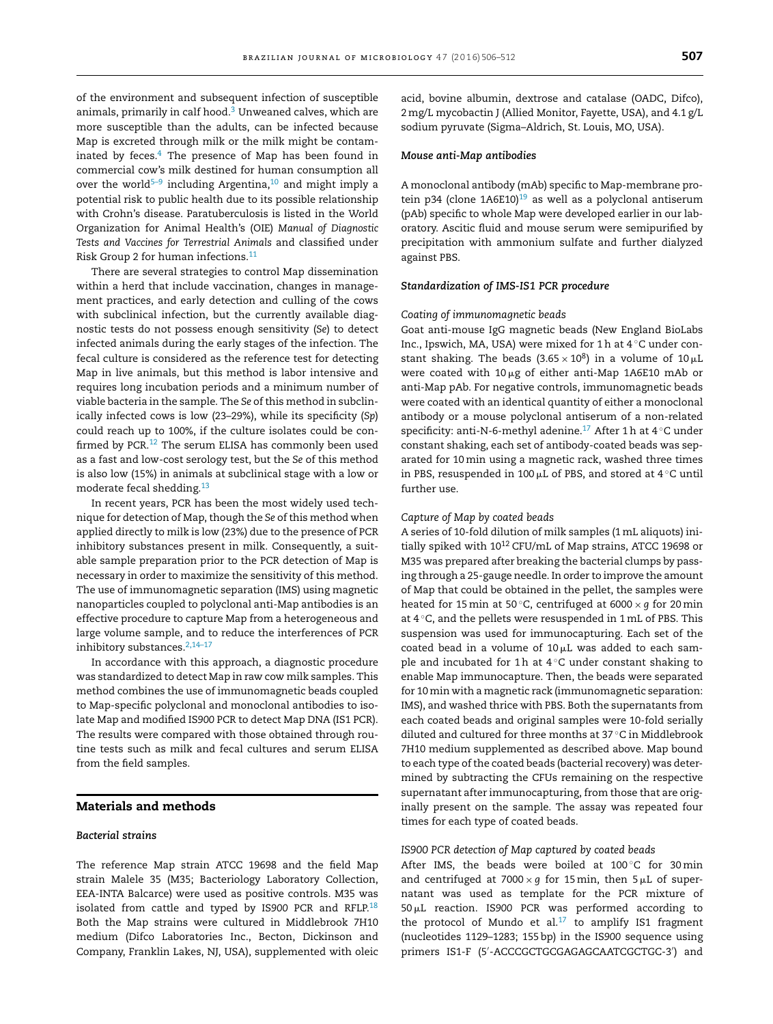of the environment and subsequent infection of susceptible animals, primarily in calf hood[.3](#page-5-0) Unweaned calves, which are more susceptible than the adults, can be infected because Map is excreted through milk or the milk might be contaminated by feces. $4$  The presence of Map has been found in commercial cow's milk destined for human consumption all over the world<sup>5-9</sup> including Argentina,<sup>10</sup> and might imply a potential risk to public health due to its possible relationship with Crohn's disease. Paratuberculosis is listed in the World Organization for Animal Health's (OIE) *Manual of Diagnostic Tests and Vaccines for Terrestrial Animals* and classified under Risk Group 2 for human infections[.11](#page-5-0)

There are several strategies to control Map dissemination within a herd that include vaccination, changes in management practices, and early detection and culling of the cows with subclinical infection, but the currently available diagnostic tests do not possess enough sensitivity (*Se*) to detect infected animals during the early stages of the infection. The fecal culture is considered as the reference test for detecting Map in live animals, but this method is labor intensive and requires long incubation periods and a minimum number of viable bacteria in the sample. The *Se* of this method in subclinically infected cows is low (23–29%), while its specificity (*Sp*) could reach up to 100%, if the culture isolates could be con-firmed by PCR.<sup>[12](#page-6-0)</sup> The serum ELISA has commonly been used as a fast and low-cost serology test, but the *Se* of this method is also low (15%) in animals at subclinical stage with a low or moderate fecal shedding.[13](#page-6-0)

In recent years, PCR has been the most widely used technique for detection of Map, though the *Se* of this method when applied directly to milk is low (23%) due to the presence of PCR inhibitory substances present in milk. Consequently, a suitable sample preparation prior to the PCR detection of Map is necessary in order to maximize the sensitivity of this method. The use of immunomagnetic separation (IMS) using magnetic nanoparticles coupled to polyclonal anti-Map antibodies is an effective procedure to capture Map from a heterogeneous and large volume sample, and to reduce the interferences of PCR inhibitory substances.  $2,14-17$ 

In accordance with this approach, a diagnostic procedure was standardized to detect Map in raw cow milk samples. This method combines the use of immunomagnetic beads coupled to Map-specific polyclonal and monoclonal antibodies to isolate Map and modified IS*900* PCR to detect Map DNA (IS1 PCR). The results were compared with those obtained through routine tests such as milk and fecal cultures and serum ELISA from the field samples.

#### **Materials and methods**

#### *Bacterial strains*

The reference Map strain ATCC 19698 and the field Map strain Malele 35 (M35; Bacteriology Laboratory Collection, EEA-INTA Balcarce) were used as positive controls. M35 was isolated from cattle and typed by IS*900* PCR and RFLP.[18](#page-6-0) Both the Map strains were cultured in Middlebrook 7H10 medium (Difco Laboratories Inc., Becton, Dickinson and Company, Franklin Lakes, NJ, USA), supplemented with oleic acid, bovine albumin, dextrose and catalase (OADC, Difco), 2mg/L mycobactin J (Allied Monitor, Fayette, USA), and 4.1 g/L sodium pyruvate (Sigma–Aldrich, St. Louis, MO, USA).

#### *Mouse anti-Map antibodies*

A monoclonal antibody (mAb) specific to Map-membrane protein p34 (clone  $1A6E10)^{19}$  as well as a polyclonal antiserum (pAb) specific to whole Map were developed earlier in our laboratory. Ascitic fluid and mouse serum were semipurified by precipitation with ammonium sulfate and further dialyzed against PBS.

#### *Standardization of IMS-IS1 PCR procedure*

#### *Coating of immunomagnetic beads*

Goat anti-mouse IgG magnetic beads (New England BioLabs Inc., Ipswich, MA, USA) were mixed for 1h at  $4^{\circ}$ C under constant shaking. The beads  $(3.65 \times 10^8)$  in a volume of  $10 \,\upmu\mathrm{L}$ were coated with 10 $\upmu$ g of either anti-Map 1A6E10 mAb or anti-Map pAb. For negative controls, immunomagnetic beads were coated with an identical quantity of either a monoclonal antibody or a mouse polyclonal antiserum of a non-related specificity: anti-N-6-methyl adenine. $^{17}$  $^{17}$  $^{17}$  After 1 h at 4  $^{\circ}$ C under constant shaking, each set of antibody-coated beads was separated for 10min using a magnetic rack, washed three times in PBS, resuspended in 100  $\upmu$ L of PBS, and stored at 4  $^\circ$ C until further use.

#### *Capture of Map by coated beads*

A series of 10-fold dilution of milk samples (1mL aliquots) initially spiked with 10<sup>12</sup> CFU/mL of Map strains, ATCC 19698 or M35 was prepared after breaking the bacterial clumps by passing through a 25-gauge needle. In order to improve the amount of Map that could be obtained in the pellet, the samples were heated for 15min at 50 ◦C, centrifuged at 6000 × *g* for 20min at 4 ◦C, and the pellets were resuspended in 1mL of PBS. This suspension was used for immunocapturing. Each set of the coated bead in a volume of 10 $\mu$ L was added to each sample and incubated for 1h at  $4^{\circ}$ C under constant shaking to enable Map immunocapture. Then, the beads were separated for 10 min with a magnetic rack (immunomagnetic separation: IMS), and washed thrice with PBS. Both the supernatants from each coated beads and original samples were 10-fold serially diluted and cultured for three months at 37 ◦C in Middlebrook 7H10 medium supplemented as described above. Map bound to each type of the coated beads (bacterial recovery) was determined by subtracting the CFUs remaining on the respective supernatant after immunocapturing, from those that are originally present on the sample. The assay was repeated four times for each type of coated beads.

#### *IS900 PCR detection of Map captured by coated beads*

After IMS, the beads were boiled at  $100^{\circ}$ C for 30 min and centrifuged at  $7000 \times g$  for 15 $\min$ , then 5 $\mu$ L of supernatant was used as template for the PCR mixture of 50-L reaction. IS*900* PCR was performed according to the protocol of Mundo et al.<sup>17</sup> to amplify IS1 fragment (nucleotides 1129–1283; 155 bp) in the IS*900* sequence using primers IS1-F (5 -ACCCGCTGCGAGAGCAATCGCTGC-3 ) and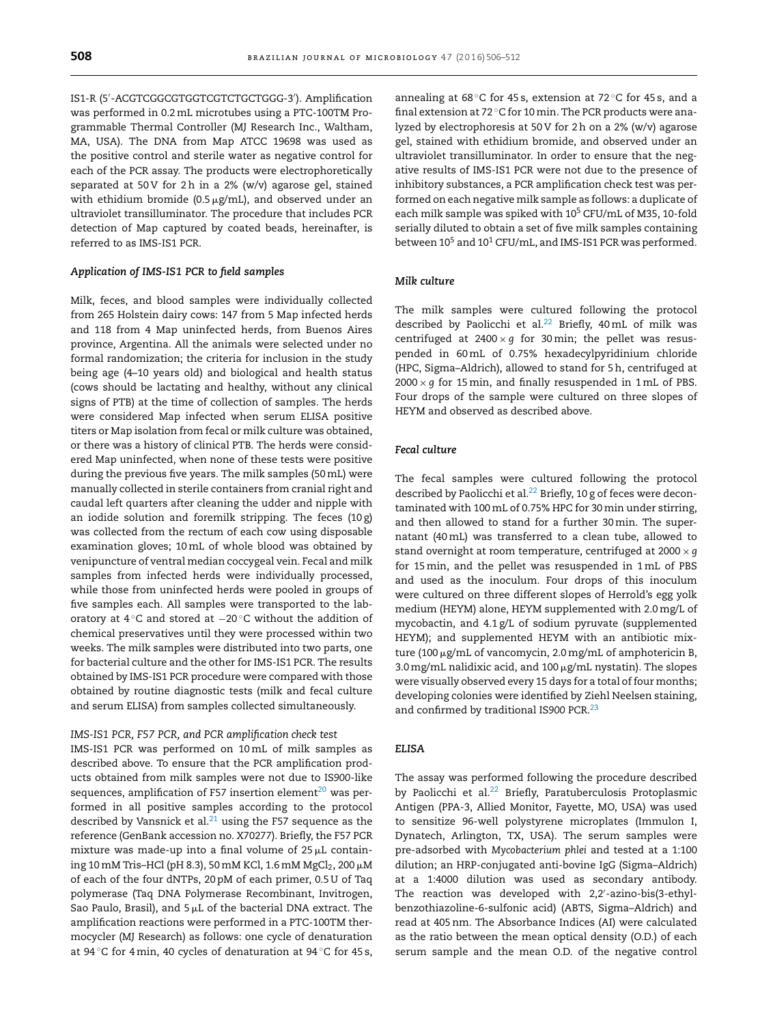IS1-R (5 -ACGTCGGCGTGGTCGTCTGCTGGG-3 ). Amplification was performed in 0.2mL microtubes using a PTC-100TM Programmable Thermal Controller (MJ Research Inc., Waltham, MA, USA). The DNA from Map ATCC 19698 was used as the positive control and sterile water as negative control for each of the PCR assay. The products were electrophoretically separated at 50 V for 2h in a 2% (w/v) agarose gel, stained with ethidium bromide (0.5  $\mu$ g/mL), and observed under an ultraviolet transilluminator. The procedure that includes PCR detection of Map captured by coated beads, hereinafter, is referred to as IMS-IS1 PCR.

#### *Application of IMS-IS1 PCR to field samples*

Milk, feces, and blood samples were individually collected from 265 Holstein dairy cows: 147 from 5 Map infected herds and 118 from 4 Map uninfected herds, from Buenos Aires province, Argentina. All the animals were selected under no formal randomization; the criteria for inclusion in the study being age (4–10 years old) and biological and health status (cows should be lactating and healthy, without any clinical signs of PTB) at the time of collection of samples. The herds were considered Map infected when serum ELISA positive titers or Map isolation from fecal or milk culture was obtained, or there was a history of clinical PTB. The herds were considered Map uninfected, when none of these tests were positive during the previous five years. The milk samples (50mL) were manually collected in sterile containers from cranial right and caudal left quarters after cleaning the udder and nipple with an iodide solution and foremilk stripping. The feces (10 g) was collected from the rectum of each cow using disposable examination gloves; 10mL of whole blood was obtained by venipuncture of ventral median coccygeal vein. Fecal and milk samples from infected herds were individually processed, while those from uninfected herds were pooled in groups of five samples each. All samples were transported to the laboratory at 4 ◦C and stored at −20 ◦C without the addition of chemical preservatives until they were processed within two weeks. The milk samples were distributed into two parts, one for bacterial culture and the other for IMS-IS1 PCR. The results obtained by IMS-IS1 PCR procedure were compared with those obtained by routine diagnostic tests (milk and fecal culture and serum ELISA) from samples collected simultaneously.

#### *IMS-IS1 PCR, F57 PCR, and PCR amplification check test*

IMS-IS1 PCR was performed on 10mL of milk samples as described above. To ensure that the PCR amplification products obtained from milk samples were not due to IS*900*-like sequences, amplification of F57 insertion element $^{20}$  was performed in all positive samples according to the protocol described by Vansnick et al. $^{21}$  using the F57 sequence as the reference (GenBank accession no. X70277). Briefly, the F57 PCR mixture was made-up into a final volume of 25 $\mu$ L containing 10 mM Tris–HCl (pH 8.3), 50 mM KCl, 1.6 mM MgCl $_2$ , 200  $\mu$ M of each of the four dNTPs, 20 pM of each primer, 0.5 U of Taq polymerase (Taq DNA Polymerase Recombinant, Invitrogen, Sao Paulo, Brasil), and  $5 \mu L$  of the bacterial DNA extract. The amplification reactions were performed in a PTC-100TM thermocycler (MJ Research) as follows: one cycle of denaturation at 94 ◦C for 4min, 40 cycles of denaturation at 94 ◦C for 45 s, annealing at 68 $°C$  for 45 s, extension at 72 $°C$  for 45 s, and a final extension at 72 ◦C for 10min. The PCR products were analyzed by electrophoresis at 50 V for 2h on a 2% (w/v) agarose gel, stained with ethidium bromide, and observed under an ultraviolet transilluminator. In order to ensure that the negative results of IMS-IS1 PCR were not due to the presence of inhibitory substances, a PCR amplification check test was performed on each negative milk sample as follows: a duplicate of each milk sample was spiked with 10<sup>5</sup> CFU/mL of M35, 10-fold serially diluted to obtain a set of five milk samples containing between 10<sup>5</sup> and 10<sup>1</sup> CFU/mL, and IMS-IS1 PCR was performed.

#### *Milk culture*

The milk samples were cultured following the protocol described by Paolicchi et al.<sup>22</sup> Briefly, 40mL of milk was centrifuged at  $2400 \times g$  for 30 min; the pellet was resuspended in 60mL of 0.75% hexadecylpyridinium chloride (HPC, Sigma–Aldrich), allowed to stand for 5h, centrifuged at  $2000 \times g$  for 15 min, and finally resuspended in 1 mL of PBS. Four drops of the sample were cultured on three slopes of HEYM and observed as described above.

#### *Fecal culture*

The fecal samples were cultured following the protocol described by Paolicchi et al.<sup>22</sup> Briefly, 10 g of feces were decontaminated with 100mL of 0.75% HPC for 30min under stirring, and then allowed to stand for a further 30min. The supernatant (40mL) was transferred to a clean tube, allowed to stand overnight at room temperature, centrifuged at 2000 × *g* for 15min, and the pellet was resuspended in 1mL of PBS and used as the inoculum. Four drops of this inoculum were cultured on three different slopes of Herrold's egg yolk medium (HEYM) alone, HEYM supplemented with 2.0mg/L of mycobactin, and 4.1 g/L of sodium pyruvate (supplemented HEYM); and supplemented HEYM with an antibiotic mixture (100  $\mu$ g/mL of vancomycin, 2.0 mg/mL of amphotericin B, 3.0 mg/mL nalidixic acid, and 100 µg/mL nystatin). The slopes were visually observed every 15 days for a total of four months; developing colonies were identified by Ziehl Neelsen staining, and confirmed by traditional IS*900* PCR.[23](#page-6-0)

#### *ELISA*

The assay was performed following the procedure described by Paolicchi et al.<sup>[22](#page-6-0)</sup> Briefly, Paratuberculosis Protoplasmic Antigen (PPA-3, Allied Monitor, Fayette, MO, USA) was used to sensitize 96-well polystyrene microplates (Immulon I, Dynatech, Arlington, TX, USA). The serum samples were pre-adsorbed with *Mycobacterium phlei* and tested at a 1:100 dilution; an HRP-conjugated anti-bovine IgG (Sigma–Aldrich) at a 1:4000 dilution was used as secondary antibody. The reaction was developed with 2,2 -azino-bis(3-ethylbenzothiazoline-6-sulfonic acid) (ABTS, Sigma–Aldrich) and read at 405nm. The Absorbance Indices (AI) were calculated as the ratio between the mean optical density (O.D.) of each serum sample and the mean O.D. of the negative control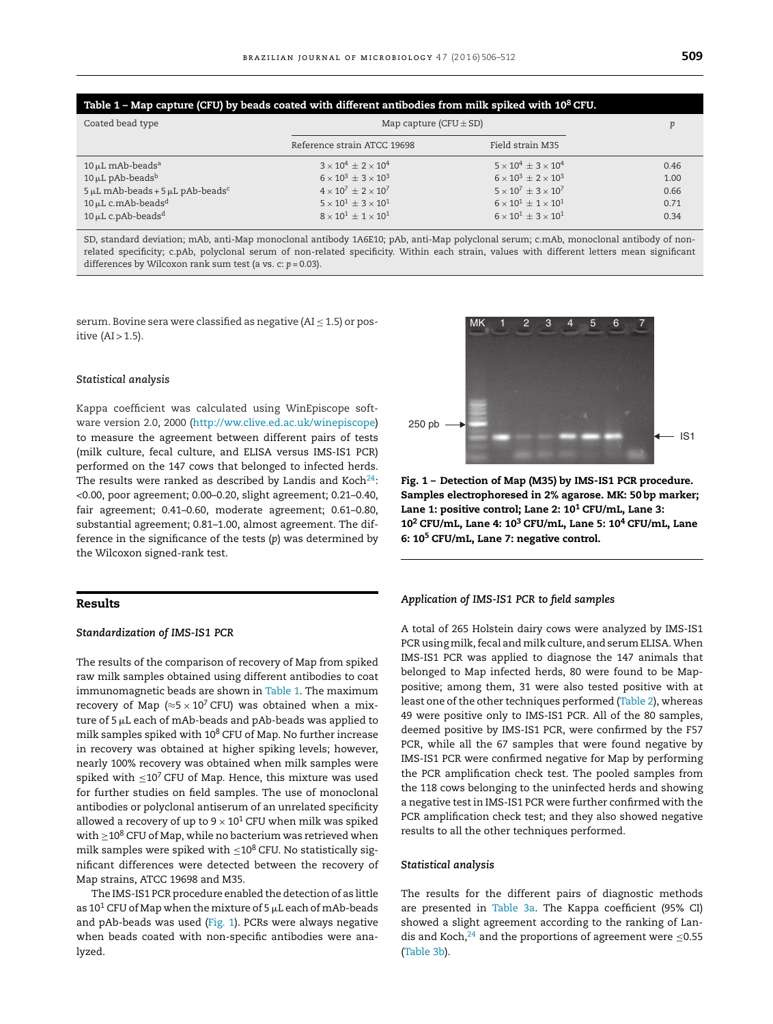| Table 1 – Map capture (CFU) by beads coated with different antibodies from milk spiked with 10 $^8$ CFU. |                                     |                                       |      |  |  |  |  |
|----------------------------------------------------------------------------------------------------------|-------------------------------------|---------------------------------------|------|--|--|--|--|
| Coated bead type                                                                                         | Map capture (CFU $\pm$ SD)          |                                       |      |  |  |  |  |
|                                                                                                          | Reference strain ATCC 19698         | Field strain M35                      |      |  |  |  |  |
| $10 \mu L$ mAb-beads <sup>a</sup>                                                                        | $3 \times 10^4 + 2 \times 10^4$     | $5 \times 10^4 + 3 \times 10^4$       | 0.46 |  |  |  |  |
| $10 \mu L$ pAb-beads <sup>b</sup>                                                                        | $6 \times 10^3 + 3 \times 10^3$     | $6 \times 10^3 + 2 \times 10^3$       | 1.00 |  |  |  |  |
| $5 \mu L$ mAb-beads + $5 \mu L$ pAb-beads <sup>c</sup>                                                   | $4 \times 10^7 + 2 \times 10^7$     | $5 \times 10^7 + 3 \times 10^7$       | 0.66 |  |  |  |  |
| $10 \mu L$ c.mAb-beads <sup>d</sup>                                                                      | $5 \times 10^1 + 3 \times 10^1$     | $6 \times 10^{1} \pm 1 \times 10^{1}$ | 0.71 |  |  |  |  |
| $10 \mu L$ c.pAb-beads <sup>d</sup>                                                                      | $8 \times 10^{1} + 1 \times 10^{1}$ | $6 \times 10^{1} + 3 \times 10^{1}$   | 0.34 |  |  |  |  |

SD, standard deviation; mAb, anti-Map monoclonal antibody 1A6E10; pAb, anti-Map polyclonal serum; c.mAb, monoclonal antibody of nonrelated specificity; c.pAb, polyclonal serum of non-related specificity. Within each strain, values with different letters mean significant differences by Wilcoxon rank sum test (a vs. c: *p* = 0.03).

serum. Bovine sera were classified as negative (AI  $\leq$  1.5) or positive  $(AI > 1.5)$ .

#### *Statistical analysis*

Kappa coefficient was calculated using WinEpiscope software version 2.0, 2000 [\(http://ww.clive.ed.ac.uk/winepiscope\)](http://ww.clive.ed.ac.uk/winepiscope) to measure the agreement between different pairs of tests (milk culture, fecal culture, and ELISA versus IMS-IS1 PCR) performed on the 147 cows that belonged to infected herds. The results were ranked as described by Landis and Koch $^{24}$ : <0.00, poor agreement; 0.00–0.20, slight agreement; 0.21–0.40, fair agreement; 0.41–0.60, moderate agreement; 0.61–0.80, substantial agreement; 0.81–1.00, almost agreement. The difference in the significance of the tests (*p*) was determined by the Wilcoxon signed-rank test.

#### **Results**

#### *Standardization of IMS-IS1 PCR*

The results of the comparison of recovery of Map from spiked raw milk samples obtained using different antibodies to coat immunomagnetic beads are shown in Table 1. The maximum recovery of Map ( $\approx$ 5 × 10<sup>7</sup> CFU) was obtained when a mixture of 5  $\upmu$ L each of mAb-beads and pAb-beads was applied to milk samples spiked with  $10^8$  CFU of Map. No further increase in recovery was obtained at higher spiking levels; however, nearly 100% recovery was obtained when milk samples were spiked with  $\leq 10^7$  CFU of Map. Hence, this mixture was used for further studies on field samples. The use of monoclonal antibodies or polyclonal antiserum of an unrelated specificity allowed a recovery of up to  $9 \times 10^1$  CFU when milk was spiked with  $\geq$ 10<sup>8</sup> CFU of Map, while no bacterium was retrieved when milk samples were spiked with  $\leq$  10<sup>8</sup> CFU. No statistically significant differences were detected between the recovery of Map strains, ATCC 19698 and M35.

The IMS-IS1 PCR procedure enabled the detection of as little as 10<sup>1</sup> CFU of Map when the mixture of 5  $\mu$ L each of mAb-beads and pAb-beads was used (Fig. 1). PCRs were always negative when beads coated with non-specific antibodies were analyzed.



**Fig. 1 – Detection of Map (M35) by IMS-IS1 PCR procedure. Samples electrophoresed in 2% agarose. MK: 50 bp marker; Lane 1: positive control; Lane 2: 101 CFU/mL, Lane 3: 102 CFU/mL, Lane 4: 103 CFU/mL, Lane 5: 104 CFU/mL, Lane 6: 105 CFU/mL, Lane 7: negative control.**

#### *Application of IMS-IS1 PCR to field samples*

A total of 265 Holstein dairy cows were analyzed by IMS-IS1 PCR using milk, fecal and milk culture, and serum ELISA. When IMS-IS1 PCR was applied to diagnose the 147 animals that belonged to Map infected herds, 80 were found to be Mappositive; among them, 31 were also tested positive with at least one of the other techniques performed [\(Table](#page-4-0) 2), whereas 49 were positive only to IMS-IS1 PCR. All of the 80 samples, deemed positive by IMS-IS1 PCR, were confirmed by the F57 PCR, while all the 67 samples that were found negative by IMS-IS1 PCR were confirmed negative for Map by performing the PCR amplification check test. The pooled samples from the 118 cows belonging to the uninfected herds and showing a negative test in IMS-IS1 PCR were further confirmed with the PCR amplification check test; and they also showed negative results to all the other techniques performed.

#### *Statistical analysis*

The results for the different pairs of diagnostic methods are presented in [Table](#page-4-0) 3a. The Kappa coefficient (95% CI) showed a slight agreement according to the ranking of Landis and Koch, $^{24}$  $^{24}$  $^{24}$  and the proportions of agreement were  $\leq 0.55$ ([Table](#page-4-0) 3b).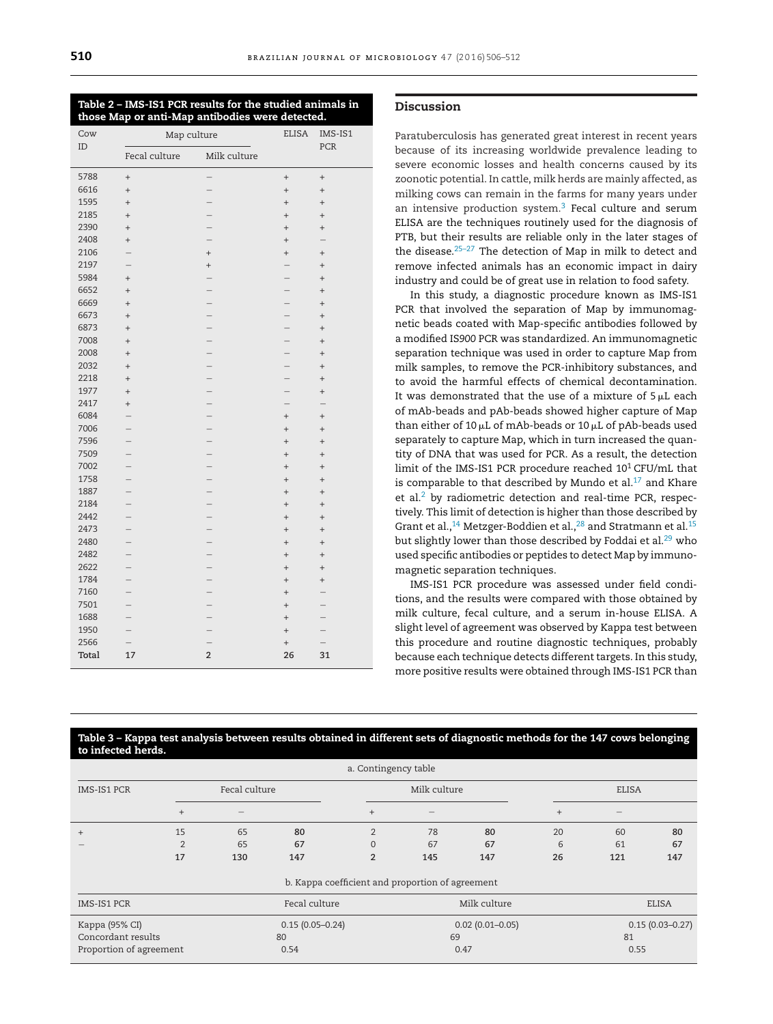<span id="page-4-0"></span>

| Table 2 – IMS-IS1 PCR results for the studied animals in |  |
|----------------------------------------------------------|--|
| those Map or anti-Map antibodies were detected.          |  |

| Cow   | Map culture                   |                          | <b>ELISA</b>             | IMS-IS1                  |  |
|-------|-------------------------------|--------------------------|--------------------------|--------------------------|--|
| ID    | Fecal culture<br>Milk culture |                          |                          | PCR                      |  |
| 5788  | $^{+}$                        | $\overline{\phantom{0}}$ | $\qquad \qquad +$        | $^{+}$                   |  |
| 6616  | $^{+}$                        |                          | $^{+}$                   | $^{+}$                   |  |
| 1595  | $\ddot{}$                     | $\overline{\phantom{0}}$ | $^{+}$                   | $^{+}$                   |  |
| 2185  | $\ddot{}$                     |                          | $\ddot{}$                | $^{+}$                   |  |
| 2390  | $^{+}$                        |                          | $^{+}$                   | $^{+}$                   |  |
| 2408  | $\ddot{}$                     | $\overline{a}$           | $^{+}$                   |                          |  |
| 2106  |                               | $^{+}$                   | $^{+}$                   | $^{+}$                   |  |
| 2197  |                               | $^{+}$                   | $\overline{\phantom{0}}$ | $\ddot{}$                |  |
| 5984  | $^{+}$                        |                          | $\overline{\phantom{0}}$ | $\ddot{}$                |  |
| 6652  | $\ddot{}$                     |                          | $\overline{a}$           | $\ddot{}$                |  |
| 6669  | $^{+}$                        | $\overline{\phantom{0}}$ | $\overline{\phantom{0}}$ | $^{+}$                   |  |
| 6673  | $\ddot{}$                     | $\overline{\phantom{0}}$ | $\overline{\phantom{0}}$ | $^{+}$                   |  |
| 6873  | $^{+}$                        | $\overline{\phantom{0}}$ | $\overline{a}$           | $^{+}$                   |  |
| 7008  | $^{+}$                        | $\overline{a}$           | $\overline{\phantom{0}}$ | $^{+}$                   |  |
| 2008  | $\ddot{}$                     | $\overline{\phantom{0}}$ | $\overline{\phantom{0}}$ | $\ddot{}$                |  |
| 2032  | $^{+}$                        | $\overline{\phantom{0}}$ | $\overline{\phantom{0}}$ | $\ddot{}$                |  |
| 2218  | $^{+}$                        |                          | $\overline{\phantom{0}}$ | $^{+}$                   |  |
| 1977  | $^{+}$                        |                          | $\overline{\phantom{0}}$ | $\ddot{}$                |  |
| 2417  | $^{+}$                        | $\overline{\phantom{0}}$ | $\overline{\phantom{0}}$ |                          |  |
| 6084  |                               |                          | $^{+}$                   | $\ddot{}$                |  |
| 7006  |                               |                          | $^{+}$                   | $\ddot{}$                |  |
| 7596  |                               | $\overline{a}$           | $^{+}$                   | $^{+}$                   |  |
| 7509  |                               | $\overline{\phantom{0}}$ | $^{+}$                   | $\ddot{}$                |  |
| 7002  |                               | $\overline{\phantom{0}}$ | $^{+}$                   | $^{+}$                   |  |
| 1758  |                               | $\overline{\phantom{0}}$ | $^{+}$                   | $^{+}$                   |  |
| 1887  |                               |                          | $^{+}$                   | $^{+}$                   |  |
| 2184  |                               | $\overline{\phantom{0}}$ | $^{+}$                   | $^{+}$                   |  |
| 2442  |                               |                          | $^{+}$                   | $\ddot{}$                |  |
| 2473  |                               |                          | $^{+}$                   | $^{+}$                   |  |
| 2480  |                               | $\overline{a}$           | $^{+}$                   | $^{+}$                   |  |
| 2482  |                               | $\overline{\phantom{0}}$ | $^{+}$                   | $^{+}$                   |  |
| 2622  |                               |                          | $^{+}$                   | $^{+}$                   |  |
| 1784  |                               |                          | $^{+}$                   | $^{+}$                   |  |
| 7160  |                               |                          | $^{+}$                   |                          |  |
| 7501  |                               | $\overline{\phantom{0}}$ | $^{+}$                   |                          |  |
| 1688  |                               |                          | $^{+}$                   |                          |  |
| 1950  |                               |                          | $^{+}$                   |                          |  |
| 2566  | $\overline{a}$                |                          | $^{+}$                   | $\overline{\phantom{0}}$ |  |
| Total | 17                            | $\overline{2}$           | 26                       | 31                       |  |

#### **Discussion**

Paratuberculosis has generated great interest in recent years because of its increasing worldwide prevalence leading to severe economic losses and health concerns caused by its zoonotic potential. In cattle, milk herds are mainly affected, as milking cows can remain in the farms for many years under an intensive production system. $3$  Fecal culture and serum ELISA are the techniques routinely used for the diagnosis of PTB, but their results are reliable only in the later stages of the disease[.25–27](#page-6-0) The detection of Map in milk to detect and remove infected animals has an economic impact in dairy industry and could be of great use in relation to food safety.

In this study, a diagnostic procedure known as IMS-IS1 PCR that involved the separation of Map by immunomagnetic beads coated with Map-specific antibodies followed by a modified IS*900* PCR was standardized. An immunomagnetic separation technique was used in order to capture Map from milk samples, to remove the PCR-inhibitory substances, and to avoid the harmful effects of chemical decontamination. It was demonstrated that the use of a mixture of  $\mathsf{5}\,\upmu\mathsf{L}$  each of mAb-beads and pAb-beads showed higher capture of Map than either of 10  $\upmu$ L of mAb-beads or 10  $\upmu$ L of pAb-beads used separately to capture Map, which in turn increased the quantity of DNA that was used for PCR. As a result, the detection limit of the IMS-IS1 PCR procedure reached  $10^1$  CFU/mL that is comparable to that described by Mundo et al. $^{17}$  $^{17}$  $^{17}$  and Khare et al. $2$  by radiometric detection and real-time PCR, respectively. This limit of detection is higher than those described by Grant et al.,<sup>14</sup> Metzger-Boddien et al.,<sup>[28](#page-6-0)</sup> and Stratmann et al.<sup>15</sup> but slightly lower than those described by Foddai et al.<sup>29</sup> who used specific antibodies or peptides to detect Map by immunomagnetic separation techniques.

IMS-IS1 PCR procedure was assessed under field conditions, and the results were compared with those obtained by milk culture, fecal culture, and a serum in-house ELISA. A slight level of agreement was observed by Kappa test between this procedure and routine diagnostic techniques, probably because each technique detects different targets. In this study, more positive results were obtained through IMS-IS1 PCR than

#### Table 3 – Kappa test analysis between results obtained in different sets of diagnostic methods for the 147 cows belonging **to infected herds.**

| a. Contingency table                             |                     |               |              |                     |              |     |                     |     |     |
|--------------------------------------------------|---------------------|---------------|--------------|---------------------|--------------|-----|---------------------|-----|-----|
| <b>IMS-IS1 PCR</b>                               | Fecal culture       |               | Milk culture |                     | <b>ELISA</b> |     |                     |     |     |
|                                                  | $^{+}$              |               |              | $+$                 |              |     | $+$                 |     |     |
| $+$                                              | 15                  | 65            | 80           | $\overline{2}$      | 78           | 80  | 20                  | 60  | 80  |
|                                                  | $\overline{2}$      | 65            | 67           | $\Omega$            | 67           | 67  | 6                   | 61  | 67  |
|                                                  | 17                  | 130           | 147          | $\overline{2}$      | 145          | 147 | 26                  | 121 | 147 |
| b. Kappa coefficient and proportion of agreement |                     |               |              |                     |              |     |                     |     |     |
| <b>IMS-IS1 PCR</b>                               |                     | Fecal culture |              |                     | Milk culture |     | <b>ELISA</b>        |     |     |
| Kappa (95% CI)                                   | $0.15(0.05 - 0.24)$ |               |              | $0.02(0.01 - 0.05)$ |              |     | $0.15(0.03 - 0.27)$ |     |     |
| Concordant results<br>80                         |                     |               | 69           |                     | 81           |     |                     |     |     |
| Proportion of agreement<br>0.54                  |                     |               | 0.47         |                     |              |     | 0.55                |     |     |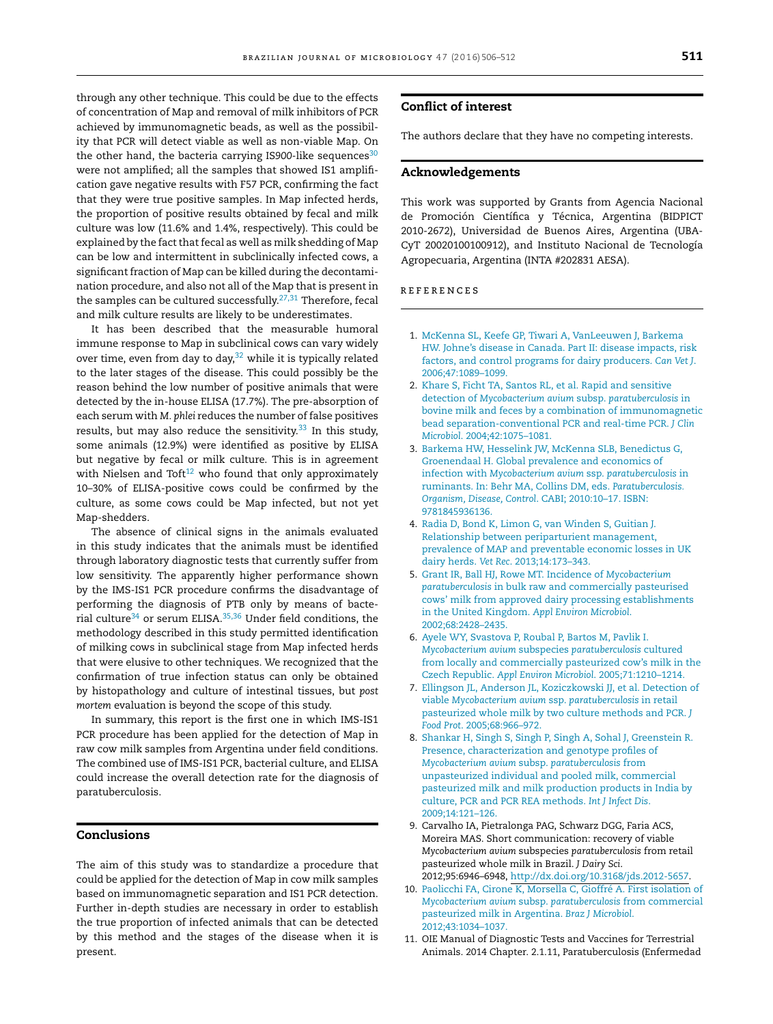<span id="page-5-0"></span>through any other technique. This could be due to the effects of concentration of Map and removal of milk inhibitors of PCR achieved by immunomagnetic beads, as well as the possibility that PCR will detect viable as well as non-viable Map. On the other hand, the bacteria carrying IS900-like sequences<sup>[30](#page-6-0)</sup> were not amplified; all the samples that showed IS1 amplification gave negative results with F57 PCR, confirming the fact that they were true positive samples. In Map infected herds, the proportion of positive results obtained by fecal and milk culture was low (11.6% and 1.4%, respectively). This could be explained by the fact that fecal as well as milk shedding of Map can be low and intermittent in subclinically infected cows, a significant fraction of Map can be killed during the decontamination procedure, and also not all of the Map that is present in the samples can be cultured successfully.<sup>[27,31](#page-6-0)</sup> Therefore, fecal and milk culture results are likely to be underestimates.

It has been described that the measurable humoral immune response to Map in subclinical cows can vary widely over time, even from day to day, $32$  while it is typically related to the later stages of the disease. This could possibly be the reason behind the low number of positive animals that were detected by the in-house ELISA (17.7%). The pre-absorption of each serum with *M. phlei* reduces the number of false positives results, but may also reduce the sensitivity. $33$  In this study, some animals (12.9%) were identified as positive by ELISA but negative by fecal or milk culture. This is in agreement with Nielsen and Toft $12$  who found that only approximately 10–30% of ELISA-positive cows could be confirmed by the culture, as some cows could be Map infected, but not yet Map-shedders.

The absence of clinical signs in the animals evaluated in this study indicates that the animals must be identified through laboratory diagnostic tests that currently suffer from low sensitivity. The apparently higher performance shown by the IMS-IS1 PCR procedure confirms the disadvantage of performing the diagnosis of PTB only by means of bacte-rial culture<sup>34</sup> or serum ELISA.<sup>[35,36](#page-6-0)</sup> Under field conditions, the methodology described in this study permitted identification of milking cows in subclinical stage from Map infected herds that were elusive to other techniques. We recognized that the confirmation of true infection status can only be obtained by histopathology and culture of intestinal tissues, but *post mortem* evaluation is beyond the scope of this study.

In summary, this report is the first one in which IMS-IS1 PCR procedure has been applied for the detection of Map in raw cow milk samples from Argentina under field conditions. The combined use of IMS-IS1 PCR, bacterial culture, and ELISA could increase the overall detection rate for the diagnosis of paratuberculosis.

#### **Conclusions**

The aim of this study was to standardize a procedure that could be applied for the detection of Map in cow milk samples based on immunomagnetic separation and IS1 PCR detection. Further in-depth studies are necessary in order to establish the true proportion of infected animals that can be detected by this method and the stages of the disease when it is present.

#### **Conflict of interest**

The authors declare that they have no competing interests.

#### **Acknowledgements**

This work was supported by Grants from Agencia Nacional de Promoción Científica y Técnica, Argentina (BIDPICT 2010-2672), Universidad de Buenos Aires, Argentina (UBA-CyT 20020100100912), and Instituto Nacional de Tecnología Agropecuaria, Argentina (INTA #202831 AESA).

#### r e f e r enc e s

- 1. [McKenna](http://refhub.elsevier.com/S1517-8382(16)00060-5/sbref0185) [SL,](http://refhub.elsevier.com/S1517-8382(16)00060-5/sbref0185) [Keefe](http://refhub.elsevier.com/S1517-8382(16)00060-5/sbref0185) [GP,](http://refhub.elsevier.com/S1517-8382(16)00060-5/sbref0185) [Tiwari](http://refhub.elsevier.com/S1517-8382(16)00060-5/sbref0185) [A,](http://refhub.elsevier.com/S1517-8382(16)00060-5/sbref0185) [VanLeeuwen](http://refhub.elsevier.com/S1517-8382(16)00060-5/sbref0185) [J,](http://refhub.elsevier.com/S1517-8382(16)00060-5/sbref0185) [Barkema](http://refhub.elsevier.com/S1517-8382(16)00060-5/sbref0185) [HW.](http://refhub.elsevier.com/S1517-8382(16)00060-5/sbref0185) [Johne's](http://refhub.elsevier.com/S1517-8382(16)00060-5/sbref0185) [disease](http://refhub.elsevier.com/S1517-8382(16)00060-5/sbref0185) [in](http://refhub.elsevier.com/S1517-8382(16)00060-5/sbref0185) [Canada.](http://refhub.elsevier.com/S1517-8382(16)00060-5/sbref0185) [Part](http://refhub.elsevier.com/S1517-8382(16)00060-5/sbref0185) [II:](http://refhub.elsevier.com/S1517-8382(16)00060-5/sbref0185) [disease](http://refhub.elsevier.com/S1517-8382(16)00060-5/sbref0185) [impacts,](http://refhub.elsevier.com/S1517-8382(16)00060-5/sbref0185) [risk](http://refhub.elsevier.com/S1517-8382(16)00060-5/sbref0185) [factors,](http://refhub.elsevier.com/S1517-8382(16)00060-5/sbref0185) [and](http://refhub.elsevier.com/S1517-8382(16)00060-5/sbref0185) [control](http://refhub.elsevier.com/S1517-8382(16)00060-5/sbref0185) [programs](http://refhub.elsevier.com/S1517-8382(16)00060-5/sbref0185) [for](http://refhub.elsevier.com/S1517-8382(16)00060-5/sbref0185) [dairy](http://refhub.elsevier.com/S1517-8382(16)00060-5/sbref0185) [producers.](http://refhub.elsevier.com/S1517-8382(16)00060-5/sbref0185) *[Can](http://refhub.elsevier.com/S1517-8382(16)00060-5/sbref0185) [Vet](http://refhub.elsevier.com/S1517-8382(16)00060-5/sbref0185) [J](http://refhub.elsevier.com/S1517-8382(16)00060-5/sbref0185)*[.](http://refhub.elsevier.com/S1517-8382(16)00060-5/sbref0185) [2006;47:1089–1099.](http://refhub.elsevier.com/S1517-8382(16)00060-5/sbref0185)
- 2. [Khare](http://refhub.elsevier.com/S1517-8382(16)00060-5/sbref0190) [S,](http://refhub.elsevier.com/S1517-8382(16)00060-5/sbref0190) [Ficht](http://refhub.elsevier.com/S1517-8382(16)00060-5/sbref0190) [TA,](http://refhub.elsevier.com/S1517-8382(16)00060-5/sbref0190) [Santos](http://refhub.elsevier.com/S1517-8382(16)00060-5/sbref0190) [RL,](http://refhub.elsevier.com/S1517-8382(16)00060-5/sbref0190) [et](http://refhub.elsevier.com/S1517-8382(16)00060-5/sbref0190) [al.](http://refhub.elsevier.com/S1517-8382(16)00060-5/sbref0190) [Rapid](http://refhub.elsevier.com/S1517-8382(16)00060-5/sbref0190) [and](http://refhub.elsevier.com/S1517-8382(16)00060-5/sbref0190) [sensitive](http://refhub.elsevier.com/S1517-8382(16)00060-5/sbref0190) [detection](http://refhub.elsevier.com/S1517-8382(16)00060-5/sbref0190) [of](http://refhub.elsevier.com/S1517-8382(16)00060-5/sbref0190) *[Mycobacterium](http://refhub.elsevier.com/S1517-8382(16)00060-5/sbref0190) [avium](http://refhub.elsevier.com/S1517-8382(16)00060-5/sbref0190)* [subsp.](http://refhub.elsevier.com/S1517-8382(16)00060-5/sbref0190) *[paratuberculosis](http://refhub.elsevier.com/S1517-8382(16)00060-5/sbref0190)* [in](http://refhub.elsevier.com/S1517-8382(16)00060-5/sbref0190) [bovine](http://refhub.elsevier.com/S1517-8382(16)00060-5/sbref0190) [milk](http://refhub.elsevier.com/S1517-8382(16)00060-5/sbref0190) [and](http://refhub.elsevier.com/S1517-8382(16)00060-5/sbref0190) [feces](http://refhub.elsevier.com/S1517-8382(16)00060-5/sbref0190) [by](http://refhub.elsevier.com/S1517-8382(16)00060-5/sbref0190) [a](http://refhub.elsevier.com/S1517-8382(16)00060-5/sbref0190) [combination](http://refhub.elsevier.com/S1517-8382(16)00060-5/sbref0190) [of](http://refhub.elsevier.com/S1517-8382(16)00060-5/sbref0190) [immunomagnetic](http://refhub.elsevier.com/S1517-8382(16)00060-5/sbref0190) [bead](http://refhub.elsevier.com/S1517-8382(16)00060-5/sbref0190) [separation-conventional](http://refhub.elsevier.com/S1517-8382(16)00060-5/sbref0190) [PCR](http://refhub.elsevier.com/S1517-8382(16)00060-5/sbref0190) [and](http://refhub.elsevier.com/S1517-8382(16)00060-5/sbref0190) [real-time](http://refhub.elsevier.com/S1517-8382(16)00060-5/sbref0190) [PCR.](http://refhub.elsevier.com/S1517-8382(16)00060-5/sbref0190) *[J](http://refhub.elsevier.com/S1517-8382(16)00060-5/sbref0190) [Clin](http://refhub.elsevier.com/S1517-8382(16)00060-5/sbref0190) [Microbiol](http://refhub.elsevier.com/S1517-8382(16)00060-5/sbref0190)*[.](http://refhub.elsevier.com/S1517-8382(16)00060-5/sbref0190) [2004;42:1075–1081.](http://refhub.elsevier.com/S1517-8382(16)00060-5/sbref0190)
- 3. [Barkema](http://refhub.elsevier.com/S1517-8382(16)00060-5/sbref0195) [HW,](http://refhub.elsevier.com/S1517-8382(16)00060-5/sbref0195) [Hesselink](http://refhub.elsevier.com/S1517-8382(16)00060-5/sbref0195) [JW,](http://refhub.elsevier.com/S1517-8382(16)00060-5/sbref0195) [McKenna](http://refhub.elsevier.com/S1517-8382(16)00060-5/sbref0195) [SLB,](http://refhub.elsevier.com/S1517-8382(16)00060-5/sbref0195) [Benedictus](http://refhub.elsevier.com/S1517-8382(16)00060-5/sbref0195) [G,](http://refhub.elsevier.com/S1517-8382(16)00060-5/sbref0195) [Groenendaal](http://refhub.elsevier.com/S1517-8382(16)00060-5/sbref0195) [H.](http://refhub.elsevier.com/S1517-8382(16)00060-5/sbref0195) [Global](http://refhub.elsevier.com/S1517-8382(16)00060-5/sbref0195) [prevalence](http://refhub.elsevier.com/S1517-8382(16)00060-5/sbref0195) [and](http://refhub.elsevier.com/S1517-8382(16)00060-5/sbref0195) [economics](http://refhub.elsevier.com/S1517-8382(16)00060-5/sbref0195) [of](http://refhub.elsevier.com/S1517-8382(16)00060-5/sbref0195) [infection](http://refhub.elsevier.com/S1517-8382(16)00060-5/sbref0195) [with](http://refhub.elsevier.com/S1517-8382(16)00060-5/sbref0195) *[Mycobacterium](http://refhub.elsevier.com/S1517-8382(16)00060-5/sbref0195) [avium](http://refhub.elsevier.com/S1517-8382(16)00060-5/sbref0195)* [ssp.](http://refhub.elsevier.com/S1517-8382(16)00060-5/sbref0195) *[paratuberculosis](http://refhub.elsevier.com/S1517-8382(16)00060-5/sbref0195)* [in](http://refhub.elsevier.com/S1517-8382(16)00060-5/sbref0195) [ruminants.](http://refhub.elsevier.com/S1517-8382(16)00060-5/sbref0195) [In:](http://refhub.elsevier.com/S1517-8382(16)00060-5/sbref0195) [Behr](http://refhub.elsevier.com/S1517-8382(16)00060-5/sbref0195) [MA,](http://refhub.elsevier.com/S1517-8382(16)00060-5/sbref0195) [Collins](http://refhub.elsevier.com/S1517-8382(16)00060-5/sbref0195) [DM,](http://refhub.elsevier.com/S1517-8382(16)00060-5/sbref0195) [eds.](http://refhub.elsevier.com/S1517-8382(16)00060-5/sbref0195) *[Paratuberculosis](http://refhub.elsevier.com/S1517-8382(16)00060-5/sbref0195). [Organism,](http://refhub.elsevier.com/S1517-8382(16)00060-5/sbref0195) [Disease,](http://refhub.elsevier.com/S1517-8382(16)00060-5/sbref0195) [Control](http://refhub.elsevier.com/S1517-8382(16)00060-5/sbref0195)*[.](http://refhub.elsevier.com/S1517-8382(16)00060-5/sbref0195) [CABI;](http://refhub.elsevier.com/S1517-8382(16)00060-5/sbref0195) [2010:10–17.](http://refhub.elsevier.com/S1517-8382(16)00060-5/sbref0195) [ISBN:](http://refhub.elsevier.com/S1517-8382(16)00060-5/sbref0195) [9781845936136.](http://refhub.elsevier.com/S1517-8382(16)00060-5/sbref0195)
- 4. [Radia](http://refhub.elsevier.com/S1517-8382(16)00060-5/sbref0200) [D,](http://refhub.elsevier.com/S1517-8382(16)00060-5/sbref0200) [Bond](http://refhub.elsevier.com/S1517-8382(16)00060-5/sbref0200) [K,](http://refhub.elsevier.com/S1517-8382(16)00060-5/sbref0200) [Limon](http://refhub.elsevier.com/S1517-8382(16)00060-5/sbref0200) [G,](http://refhub.elsevier.com/S1517-8382(16)00060-5/sbref0200) [van](http://refhub.elsevier.com/S1517-8382(16)00060-5/sbref0200) [Winden](http://refhub.elsevier.com/S1517-8382(16)00060-5/sbref0200) [S,](http://refhub.elsevier.com/S1517-8382(16)00060-5/sbref0200) [Guitian](http://refhub.elsevier.com/S1517-8382(16)00060-5/sbref0200) [J.](http://refhub.elsevier.com/S1517-8382(16)00060-5/sbref0200) [Relationship](http://refhub.elsevier.com/S1517-8382(16)00060-5/sbref0200) [between](http://refhub.elsevier.com/S1517-8382(16)00060-5/sbref0200) [periparturient](http://refhub.elsevier.com/S1517-8382(16)00060-5/sbref0200) [management,](http://refhub.elsevier.com/S1517-8382(16)00060-5/sbref0200) [prevalence](http://refhub.elsevier.com/S1517-8382(16)00060-5/sbref0200) [of](http://refhub.elsevier.com/S1517-8382(16)00060-5/sbref0200) [MAP](http://refhub.elsevier.com/S1517-8382(16)00060-5/sbref0200) [and](http://refhub.elsevier.com/S1517-8382(16)00060-5/sbref0200) [preventable](http://refhub.elsevier.com/S1517-8382(16)00060-5/sbref0200) [economic](http://refhub.elsevier.com/S1517-8382(16)00060-5/sbref0200) [losses](http://refhub.elsevier.com/S1517-8382(16)00060-5/sbref0200) [in](http://refhub.elsevier.com/S1517-8382(16)00060-5/sbref0200) [UK](http://refhub.elsevier.com/S1517-8382(16)00060-5/sbref0200) [dairy](http://refhub.elsevier.com/S1517-8382(16)00060-5/sbref0200) [herds.](http://refhub.elsevier.com/S1517-8382(16)00060-5/sbref0200) *[Vet](http://refhub.elsevier.com/S1517-8382(16)00060-5/sbref0200) [Rec](http://refhub.elsevier.com/S1517-8382(16)00060-5/sbref0200)*[.](http://refhub.elsevier.com/S1517-8382(16)00060-5/sbref0200) [2013;14:173](http://refhub.elsevier.com/S1517-8382(16)00060-5/sbref0200)–[343.](http://refhub.elsevier.com/S1517-8382(16)00060-5/sbref0200)
- 5. [Grant](http://refhub.elsevier.com/S1517-8382(16)00060-5/sbref0205) [IR,](http://refhub.elsevier.com/S1517-8382(16)00060-5/sbref0205) [Ball](http://refhub.elsevier.com/S1517-8382(16)00060-5/sbref0205) [HJ,](http://refhub.elsevier.com/S1517-8382(16)00060-5/sbref0205) [Rowe](http://refhub.elsevier.com/S1517-8382(16)00060-5/sbref0205) [MT.](http://refhub.elsevier.com/S1517-8382(16)00060-5/sbref0205) [Incidence](http://refhub.elsevier.com/S1517-8382(16)00060-5/sbref0205) [of](http://refhub.elsevier.com/S1517-8382(16)00060-5/sbref0205) *[Mycobacterium](http://refhub.elsevier.com/S1517-8382(16)00060-5/sbref0205) [paratuberculosis](http://refhub.elsevier.com/S1517-8382(16)00060-5/sbref0205)* [in](http://refhub.elsevier.com/S1517-8382(16)00060-5/sbref0205) [bulk](http://refhub.elsevier.com/S1517-8382(16)00060-5/sbref0205) [raw](http://refhub.elsevier.com/S1517-8382(16)00060-5/sbref0205) [and](http://refhub.elsevier.com/S1517-8382(16)00060-5/sbref0205) [commercially](http://refhub.elsevier.com/S1517-8382(16)00060-5/sbref0205) [pasteurised](http://refhub.elsevier.com/S1517-8382(16)00060-5/sbref0205) [cows'](http://refhub.elsevier.com/S1517-8382(16)00060-5/sbref0205) [milk](http://refhub.elsevier.com/S1517-8382(16)00060-5/sbref0205) [from](http://refhub.elsevier.com/S1517-8382(16)00060-5/sbref0205) [approved](http://refhub.elsevier.com/S1517-8382(16)00060-5/sbref0205) [dairy](http://refhub.elsevier.com/S1517-8382(16)00060-5/sbref0205) [processing](http://refhub.elsevier.com/S1517-8382(16)00060-5/sbref0205) [establishments](http://refhub.elsevier.com/S1517-8382(16)00060-5/sbref0205) [in](http://refhub.elsevier.com/S1517-8382(16)00060-5/sbref0205) [the](http://refhub.elsevier.com/S1517-8382(16)00060-5/sbref0205) [United](http://refhub.elsevier.com/S1517-8382(16)00060-5/sbref0205) [Kingdom.](http://refhub.elsevier.com/S1517-8382(16)00060-5/sbref0205) *[Appl](http://refhub.elsevier.com/S1517-8382(16)00060-5/sbref0205) [Environ](http://refhub.elsevier.com/S1517-8382(16)00060-5/sbref0205) [Microbiol](http://refhub.elsevier.com/S1517-8382(16)00060-5/sbref0205)*[.](http://refhub.elsevier.com/S1517-8382(16)00060-5/sbref0205) [2002;68:2428](http://refhub.elsevier.com/S1517-8382(16)00060-5/sbref0205)–[2435.](http://refhub.elsevier.com/S1517-8382(16)00060-5/sbref0205)
- 6. [Ayele](http://refhub.elsevier.com/S1517-8382(16)00060-5/sbref0210) [WY,](http://refhub.elsevier.com/S1517-8382(16)00060-5/sbref0210) [Svastova](http://refhub.elsevier.com/S1517-8382(16)00060-5/sbref0210) [P,](http://refhub.elsevier.com/S1517-8382(16)00060-5/sbref0210) [Roubal](http://refhub.elsevier.com/S1517-8382(16)00060-5/sbref0210) [P,](http://refhub.elsevier.com/S1517-8382(16)00060-5/sbref0210) [Bartos](http://refhub.elsevier.com/S1517-8382(16)00060-5/sbref0210) [M,](http://refhub.elsevier.com/S1517-8382(16)00060-5/sbref0210) [Pavlik](http://refhub.elsevier.com/S1517-8382(16)00060-5/sbref0210) [I.](http://refhub.elsevier.com/S1517-8382(16)00060-5/sbref0210) *[Mycobacterium](http://refhub.elsevier.com/S1517-8382(16)00060-5/sbref0210) [avium](http://refhub.elsevier.com/S1517-8382(16)00060-5/sbref0210)* [subspecies](http://refhub.elsevier.com/S1517-8382(16)00060-5/sbref0210) *[paratuberculosis](http://refhub.elsevier.com/S1517-8382(16)00060-5/sbref0210)* [cultured](http://refhub.elsevier.com/S1517-8382(16)00060-5/sbref0210) [from](http://refhub.elsevier.com/S1517-8382(16)00060-5/sbref0210) [locally](http://refhub.elsevier.com/S1517-8382(16)00060-5/sbref0210) [and](http://refhub.elsevier.com/S1517-8382(16)00060-5/sbref0210) [commercially](http://refhub.elsevier.com/S1517-8382(16)00060-5/sbref0210) [pasteurized](http://refhub.elsevier.com/S1517-8382(16)00060-5/sbref0210) [cow's](http://refhub.elsevier.com/S1517-8382(16)00060-5/sbref0210) [milk](http://refhub.elsevier.com/S1517-8382(16)00060-5/sbref0210) [in](http://refhub.elsevier.com/S1517-8382(16)00060-5/sbref0210) [the](http://refhub.elsevier.com/S1517-8382(16)00060-5/sbref0210) [Czech](http://refhub.elsevier.com/S1517-8382(16)00060-5/sbref0210) [Republic.](http://refhub.elsevier.com/S1517-8382(16)00060-5/sbref0210) *[Appl](http://refhub.elsevier.com/S1517-8382(16)00060-5/sbref0210) [Environ](http://refhub.elsevier.com/S1517-8382(16)00060-5/sbref0210) [Microbiol](http://refhub.elsevier.com/S1517-8382(16)00060-5/sbref0210)*[.](http://refhub.elsevier.com/S1517-8382(16)00060-5/sbref0210) [2005;71:1210](http://refhub.elsevier.com/S1517-8382(16)00060-5/sbref0210)–[1214.](http://refhub.elsevier.com/S1517-8382(16)00060-5/sbref0210)
- 7. [Ellingson](http://refhub.elsevier.com/S1517-8382(16)00060-5/sbref0215) [JL,](http://refhub.elsevier.com/S1517-8382(16)00060-5/sbref0215) [Anderson](http://refhub.elsevier.com/S1517-8382(16)00060-5/sbref0215) [JL,](http://refhub.elsevier.com/S1517-8382(16)00060-5/sbref0215) [Koziczkowski](http://refhub.elsevier.com/S1517-8382(16)00060-5/sbref0215) [JJ,](http://refhub.elsevier.com/S1517-8382(16)00060-5/sbref0215) [et](http://refhub.elsevier.com/S1517-8382(16)00060-5/sbref0215) [al.](http://refhub.elsevier.com/S1517-8382(16)00060-5/sbref0215) [Detection](http://refhub.elsevier.com/S1517-8382(16)00060-5/sbref0215) [of](http://refhub.elsevier.com/S1517-8382(16)00060-5/sbref0215) [viable](http://refhub.elsevier.com/S1517-8382(16)00060-5/sbref0215) *[Mycobacterium](http://refhub.elsevier.com/S1517-8382(16)00060-5/sbref0215) [avium](http://refhub.elsevier.com/S1517-8382(16)00060-5/sbref0215)* [ssp.](http://refhub.elsevier.com/S1517-8382(16)00060-5/sbref0215) *[paratuberculosis](http://refhub.elsevier.com/S1517-8382(16)00060-5/sbref0215)* [in](http://refhub.elsevier.com/S1517-8382(16)00060-5/sbref0215) [retail](http://refhub.elsevier.com/S1517-8382(16)00060-5/sbref0215) [pasteurized](http://refhub.elsevier.com/S1517-8382(16)00060-5/sbref0215) [whole](http://refhub.elsevier.com/S1517-8382(16)00060-5/sbref0215) [milk](http://refhub.elsevier.com/S1517-8382(16)00060-5/sbref0215) [by](http://refhub.elsevier.com/S1517-8382(16)00060-5/sbref0215) [two](http://refhub.elsevier.com/S1517-8382(16)00060-5/sbref0215) [culture](http://refhub.elsevier.com/S1517-8382(16)00060-5/sbref0215) [methods](http://refhub.elsevier.com/S1517-8382(16)00060-5/sbref0215) [and](http://refhub.elsevier.com/S1517-8382(16)00060-5/sbref0215) [PCR.](http://refhub.elsevier.com/S1517-8382(16)00060-5/sbref0215) *[J](http://refhub.elsevier.com/S1517-8382(16)00060-5/sbref0215) [Food](http://refhub.elsevier.com/S1517-8382(16)00060-5/sbref0215) [Prot](http://refhub.elsevier.com/S1517-8382(16)00060-5/sbref0215)*[.](http://refhub.elsevier.com/S1517-8382(16)00060-5/sbref0215) [2005;68:966–972.](http://refhub.elsevier.com/S1517-8382(16)00060-5/sbref0215)
- 8. [Shankar](http://refhub.elsevier.com/S1517-8382(16)00060-5/sbref0220) [H,](http://refhub.elsevier.com/S1517-8382(16)00060-5/sbref0220) [Singh](http://refhub.elsevier.com/S1517-8382(16)00060-5/sbref0220) [S,](http://refhub.elsevier.com/S1517-8382(16)00060-5/sbref0220) [Singh](http://refhub.elsevier.com/S1517-8382(16)00060-5/sbref0220) [P,](http://refhub.elsevier.com/S1517-8382(16)00060-5/sbref0220) [Singh](http://refhub.elsevier.com/S1517-8382(16)00060-5/sbref0220) [A,](http://refhub.elsevier.com/S1517-8382(16)00060-5/sbref0220) [Sohal](http://refhub.elsevier.com/S1517-8382(16)00060-5/sbref0220) [J,](http://refhub.elsevier.com/S1517-8382(16)00060-5/sbref0220) [Greenstein](http://refhub.elsevier.com/S1517-8382(16)00060-5/sbref0220) [R.](http://refhub.elsevier.com/S1517-8382(16)00060-5/sbref0220) [Presence,](http://refhub.elsevier.com/S1517-8382(16)00060-5/sbref0220) [characterization](http://refhub.elsevier.com/S1517-8382(16)00060-5/sbref0220) [and](http://refhub.elsevier.com/S1517-8382(16)00060-5/sbref0220) [genotype](http://refhub.elsevier.com/S1517-8382(16)00060-5/sbref0220) [profiles](http://refhub.elsevier.com/S1517-8382(16)00060-5/sbref0220) [of](http://refhub.elsevier.com/S1517-8382(16)00060-5/sbref0220) *[Mycobacterium](http://refhub.elsevier.com/S1517-8382(16)00060-5/sbref0220) [avium](http://refhub.elsevier.com/S1517-8382(16)00060-5/sbref0220)* [subsp.](http://refhub.elsevier.com/S1517-8382(16)00060-5/sbref0220) *[paratuberculosis](http://refhub.elsevier.com/S1517-8382(16)00060-5/sbref0220)* [from](http://refhub.elsevier.com/S1517-8382(16)00060-5/sbref0220) [unpasteurized](http://refhub.elsevier.com/S1517-8382(16)00060-5/sbref0220) [individual](http://refhub.elsevier.com/S1517-8382(16)00060-5/sbref0220) [and](http://refhub.elsevier.com/S1517-8382(16)00060-5/sbref0220) [pooled](http://refhub.elsevier.com/S1517-8382(16)00060-5/sbref0220) [milk,](http://refhub.elsevier.com/S1517-8382(16)00060-5/sbref0220) [commercial](http://refhub.elsevier.com/S1517-8382(16)00060-5/sbref0220) [pasteurized](http://refhub.elsevier.com/S1517-8382(16)00060-5/sbref0220) [milk](http://refhub.elsevier.com/S1517-8382(16)00060-5/sbref0220) [and](http://refhub.elsevier.com/S1517-8382(16)00060-5/sbref0220) [milk](http://refhub.elsevier.com/S1517-8382(16)00060-5/sbref0220) [production](http://refhub.elsevier.com/S1517-8382(16)00060-5/sbref0220) [products](http://refhub.elsevier.com/S1517-8382(16)00060-5/sbref0220) [in](http://refhub.elsevier.com/S1517-8382(16)00060-5/sbref0220) [India](http://refhub.elsevier.com/S1517-8382(16)00060-5/sbref0220) [by](http://refhub.elsevier.com/S1517-8382(16)00060-5/sbref0220) [culture,](http://refhub.elsevier.com/S1517-8382(16)00060-5/sbref0220) [PCR](http://refhub.elsevier.com/S1517-8382(16)00060-5/sbref0220) [and](http://refhub.elsevier.com/S1517-8382(16)00060-5/sbref0220) [PCR](http://refhub.elsevier.com/S1517-8382(16)00060-5/sbref0220) [REA](http://refhub.elsevier.com/S1517-8382(16)00060-5/sbref0220) [methods.](http://refhub.elsevier.com/S1517-8382(16)00060-5/sbref0220) *[Int](http://refhub.elsevier.com/S1517-8382(16)00060-5/sbref0220) [J](http://refhub.elsevier.com/S1517-8382(16)00060-5/sbref0220) [Infect](http://refhub.elsevier.com/S1517-8382(16)00060-5/sbref0220) [Dis](http://refhub.elsevier.com/S1517-8382(16)00060-5/sbref0220)*[.](http://refhub.elsevier.com/S1517-8382(16)00060-5/sbref0220) [2009;14:121–126.](http://refhub.elsevier.com/S1517-8382(16)00060-5/sbref0220)
- 9. Carvalho IA, Pietralonga PAG, Schwarz DGG, Faria ACS, Moreira MAS. Short communication: recovery of viable *Mycobacterium avium* subspecies *paratuberculosis* from retail pasteurized whole milk in Brazil. *J Dairy Sci*. 2012;95:6946–6948, [http://dx.doi.org/10.3168/jds.2012-5657.](dx.doi.org/10.3168/jds.2012-5657)
- 10. [Paolicchi](http://refhub.elsevier.com/S1517-8382(16)00060-5/sbref0230) [FA,](http://refhub.elsevier.com/S1517-8382(16)00060-5/sbref0230) [Cirone](http://refhub.elsevier.com/S1517-8382(16)00060-5/sbref0230) [K,](http://refhub.elsevier.com/S1517-8382(16)00060-5/sbref0230) [Morsella](http://refhub.elsevier.com/S1517-8382(16)00060-5/sbref0230) [C,](http://refhub.elsevier.com/S1517-8382(16)00060-5/sbref0230) [Gioffré](http://refhub.elsevier.com/S1517-8382(16)00060-5/sbref0230) [A.](http://refhub.elsevier.com/S1517-8382(16)00060-5/sbref0230) [First](http://refhub.elsevier.com/S1517-8382(16)00060-5/sbref0230) [isolation](http://refhub.elsevier.com/S1517-8382(16)00060-5/sbref0230) [of](http://refhub.elsevier.com/S1517-8382(16)00060-5/sbref0230) *[Mycobacterium](http://refhub.elsevier.com/S1517-8382(16)00060-5/sbref0230) [avium](http://refhub.elsevier.com/S1517-8382(16)00060-5/sbref0230)* [subsp.](http://refhub.elsevier.com/S1517-8382(16)00060-5/sbref0230) *[paratuberculosis](http://refhub.elsevier.com/S1517-8382(16)00060-5/sbref0230)* [from](http://refhub.elsevier.com/S1517-8382(16)00060-5/sbref0230) [commercial](http://refhub.elsevier.com/S1517-8382(16)00060-5/sbref0230) [pasteurized](http://refhub.elsevier.com/S1517-8382(16)00060-5/sbref0230) [milk](http://refhub.elsevier.com/S1517-8382(16)00060-5/sbref0230) [in](http://refhub.elsevier.com/S1517-8382(16)00060-5/sbref0230) [Argentina.](http://refhub.elsevier.com/S1517-8382(16)00060-5/sbref0230) *[Braz](http://refhub.elsevier.com/S1517-8382(16)00060-5/sbref0230) [J](http://refhub.elsevier.com/S1517-8382(16)00060-5/sbref0230) [Microbiol](http://refhub.elsevier.com/S1517-8382(16)00060-5/sbref0230)*[.](http://refhub.elsevier.com/S1517-8382(16)00060-5/sbref0230) [2012;43:1034](http://refhub.elsevier.com/S1517-8382(16)00060-5/sbref0230)–[1037.](http://refhub.elsevier.com/S1517-8382(16)00060-5/sbref0230)
- 11. OIE Manual of Diagnostic Tests and Vaccines for Terrestrial Animals. 2014 Chapter. 2.1.11, Paratuberculosis (Enfermedad